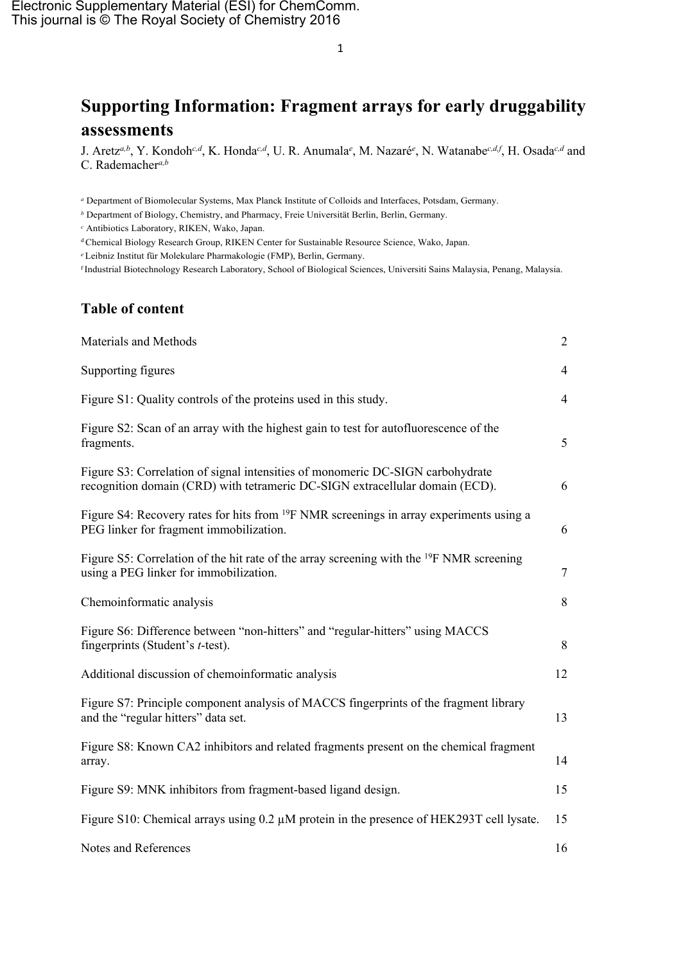# **Supporting Information: Fragment arrays for early druggability assessments**

J. Aretz*a,b* , Y. Kondoh*c,d* , K. Honda*c,d* , U. R. Anumala*<sup>e</sup>* , M. Nazaré*<sup>e</sup>* , N. Watanabe*c,d,f* , H. Osada*c,d* and C. Rademacher*a,b*

*<sup>a</sup>* Department of Biomolecular Systems, Max Planck Institute of Colloids and Interfaces, Potsdam, Germany.

*<sup>b</sup>* Department of Biology, Chemistry, and Pharmacy, Freie Universität Berlin, Berlin, Germany.

*<sup>c</sup>* Antibiotics Laboratory, RIKEN, Wako, Japan.

<sup>d</sup>Chemical Biology Research Group, RIKEN Center for Sustainable Resource Science, Wako, Japan.

*<sup>e</sup>* Leibniz Institut für Molekulare Pharmakologie (FMP), Berlin, Germany.

f Industrial Biotechnology Research Laboratory, School of Biological Sciences, Universiti Sains Malaysia, Penang, Malaysia.

# **Table of content**

| Materials and Methods                                                                                                                                          | $\overline{2}$ |
|----------------------------------------------------------------------------------------------------------------------------------------------------------------|----------------|
| Supporting figures                                                                                                                                             | $\overline{4}$ |
| Figure S1: Quality controls of the proteins used in this study.                                                                                                | $\overline{4}$ |
| Figure S2: Scan of an array with the highest gain to test for autofluorescence of the<br>fragments.                                                            | 5              |
| Figure S3: Correlation of signal intensities of monomeric DC-SIGN carbohydrate<br>recognition domain (CRD) with tetrameric DC-SIGN extracellular domain (ECD). | 6              |
| Figure S4: Recovery rates for hits from <sup>19</sup> F NMR screenings in array experiments using a<br>PEG linker for fragment immobilization.                 | 6              |
| Figure S5: Correlation of the hit rate of the array screening with the <sup>19</sup> F NMR screening<br>using a PEG linker for immobilization.                 | $\overline{7}$ |
| Chemoinformatic analysis                                                                                                                                       | 8              |
| Figure S6: Difference between "non-hitters" and "regular-hitters" using MACCS<br>fingerprints (Student's <i>t</i> -test).                                      | 8              |
| Additional discussion of chemoinformatic analysis                                                                                                              | 12             |
| Figure S7: Principle component analysis of MACCS fingerprints of the fragment library<br>and the "regular hitters" data set.                                   | 13             |
| Figure S8: Known CA2 inhibitors and related fragments present on the chemical fragment<br>array.                                                               | 14             |
| Figure S9: MNK inhibitors from fragment-based ligand design.                                                                                                   | 15             |
| Figure S10: Chemical arrays using $0.2 \mu M$ protein in the presence of HEK293T cell lysate.                                                                  | 15             |
| Notes and References                                                                                                                                           | 16             |

1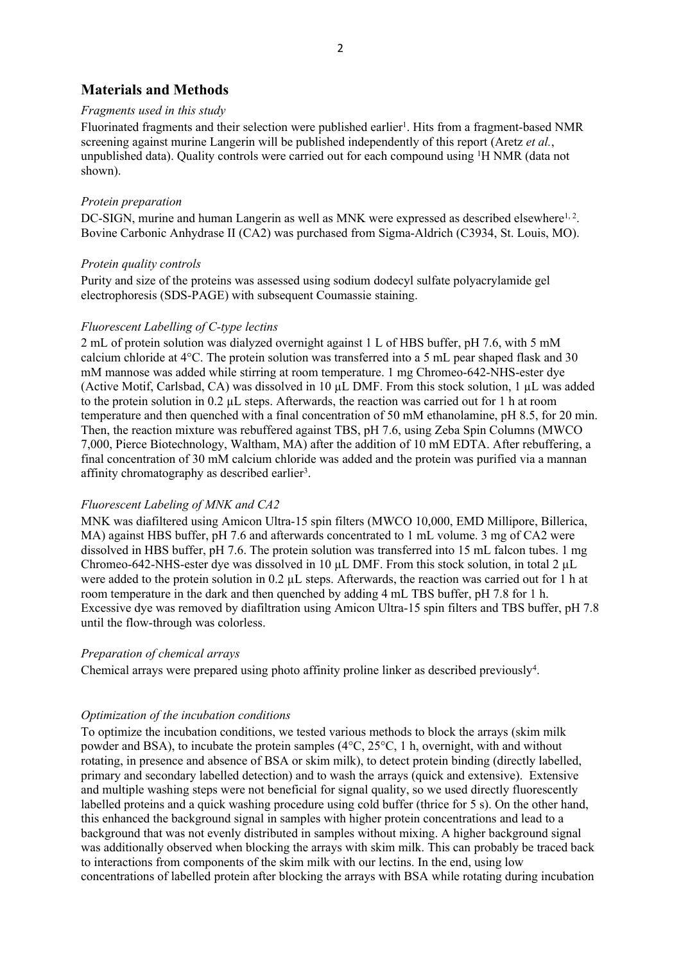# **Materials and Methods**

#### *Fragments used in this study*

Fluorinated fragments and their selection were published earlier<sup>1</sup>. Hits from a fragment-based NMR screening against murine Langerin will be published independently of this report (Aretz *et al.*, unpublished data). Quality controls were carried out for each compound using <sup>1</sup>H NMR (data not shown).

#### *Protein preparation*

DC-SIGN, murine and human Langerin as well as MNK were expressed as described elsewhere<sup>1, 2</sup>. Bovine Carbonic Anhydrase II (CA2) was purchased from Sigma-Aldrich (C3934, St. Louis, MO).

#### *Protein quality controls*

Purity and size of the proteins was assessed using sodium dodecyl sulfate polyacrylamide gel electrophoresis (SDS-PAGE) with subsequent Coumassie staining.

### *Fluorescent Labelling of C-type lectins*

2 mL of protein solution was dialyzed overnight against 1 L of HBS buffer, pH 7.6, with 5 mM calcium chloride at 4°C. The protein solution was transferred into a 5 mL pear shaped flask and 30 mM mannose was added while stirring at room temperature. 1 mg Chromeo-642-NHS-ester dye (Active Motif, Carlsbad, CA) was dissolved in 10 µL DMF. From this stock solution, 1 µL was added to the protein solution in 0.2 µL steps. Afterwards, the reaction was carried out for 1 h at room temperature and then quenched with a final concentration of 50 mM ethanolamine, pH 8.5, for 20 min. Then, the reaction mixture was rebuffered against TBS, pH 7.6, using Zeba Spin Columns (MWCO 7,000, Pierce Biotechnology, Waltham, MA) after the addition of 10 mM EDTA. After rebuffering, a final concentration of 30 mM calcium chloride was added and the protein was purified via a mannan affinity chromatography as described earlier<sup>3</sup>.

## *Fluorescent Labeling of MNK and CA2*

MNK was diafiltered using Amicon Ultra-15 spin filters (MWCO 10,000, EMD Millipore, Billerica, MA) against HBS buffer, pH 7.6 and afterwards concentrated to 1 mL volume. 3 mg of CA2 were dissolved in HBS buffer, pH 7.6. The protein solution was transferred into 15 mL falcon tubes. 1 mg Chromeo-642-NHS-ester dye was dissolved in 10 µL DMF. From this stock solution, in total 2 µL were added to the protein solution in 0.2 µL steps. Afterwards, the reaction was carried out for 1 h at room temperature in the dark and then quenched by adding 4 mL TBS buffer, pH 7.8 for 1 h. Excessive dye was removed by diafiltration using Amicon Ultra-15 spin filters and TBS buffer, pH 7.8 until the flow-through was colorless.

#### *Preparation of chemical arrays*

Chemical arrays were prepared using photo affinity proline linker as described previously<sup>4</sup> .

#### *Optimization of the incubation conditions*

To optimize the incubation conditions, we tested various methods to block the arrays (skim milk powder and BSA), to incubate the protein samples (4°C, 25°C, 1 h, overnight, with and without rotating, in presence and absence of BSA or skim milk), to detect protein binding (directly labelled, primary and secondary labelled detection) and to wash the arrays (quick and extensive). Extensive and multiple washing steps were not beneficial for signal quality, so we used directly fluorescently labelled proteins and a quick washing procedure using cold buffer (thrice for 5 s). On the other hand, this enhanced the background signal in samples with higher protein concentrations and lead to a background that was not evenly distributed in samples without mixing. A higher background signal was additionally observed when blocking the arrays with skim milk. This can probably be traced back to interactions from components of the skim milk with our lectins. In the end, using low concentrations of labelled protein after blocking the arrays with BSA while rotating during incubation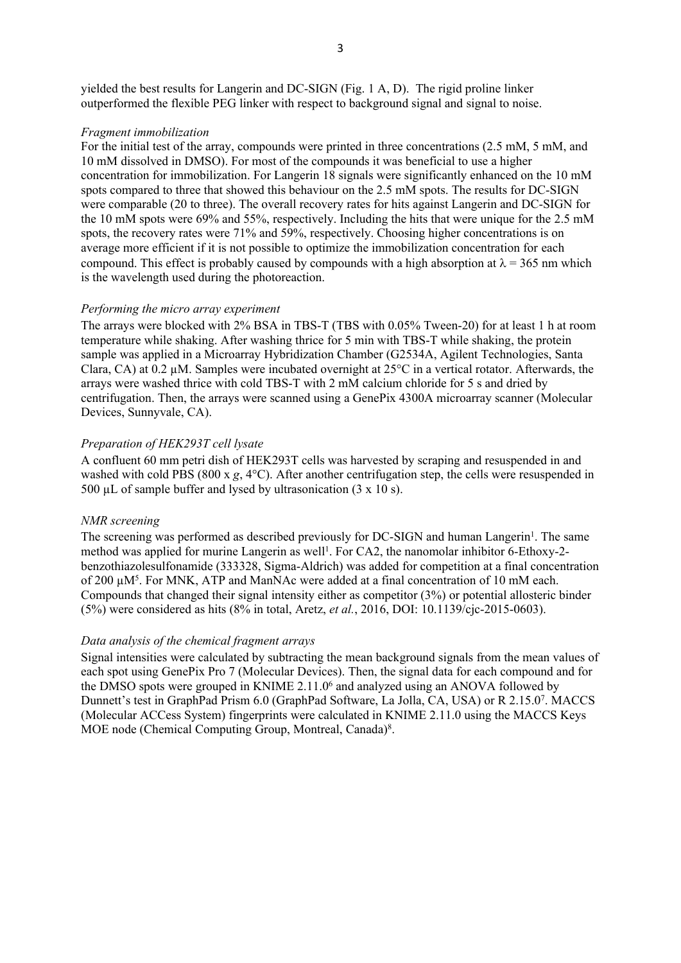#### *Fragment immobilization*

For the initial test of the array, compounds were printed in three concentrations (2.5 mM, 5 mM, and 10 mM dissolved in DMSO). For most of the compounds it was beneficial to use a higher concentration for immobilization. For Langerin 18 signals were significantly enhanced on the 10 mM spots compared to three that showed this behaviour on the 2.5 mM spots. The results for DC-SIGN were comparable (20 to three). The overall recovery rates for hits against Langerin and DC-SIGN for the 10 mM spots were 69% and 55%, respectively. Including the hits that were unique for the 2.5 mM spots, the recovery rates were 71% and 59%, respectively. Choosing higher concentrations is on average more efficient if it is not possible to optimize the immobilization concentration for each compound. This effect is probably caused by compounds with a high absorption at  $\lambda = 365$  nm which is the wavelength used during the photoreaction.

#### *Performing the micro array experiment*

The arrays were blocked with 2% BSA in TBS-T (TBS with 0.05% Tween-20) for at least 1 h at room temperature while shaking. After washing thrice for 5 min with TBS-T while shaking, the protein sample was applied in a Microarray Hybridization Chamber (G2534A, Agilent Technologies, Santa Clara, CA) at 0.2 µM. Samples were incubated overnight at 25°C in a vertical rotator. Afterwards, the arrays were washed thrice with cold TBS-T with 2 mM calcium chloride for 5 s and dried by centrifugation. Then, the arrays were scanned using a GenePix 4300A microarray scanner (Molecular Devices, Sunnyvale, CA).

#### *Preparation of HEK293T cell lysate*

A confluent 60 mm petri dish of HEK293T cells was harvested by scraping and resuspended in and washed with cold PBS (800 x *g*, 4°C). After another centrifugation step, the cells were resuspended in 500  $\mu$ L of sample buffer and lysed by ultrasonication (3 x 10 s).

#### *NMR screening*

The screening was performed as described previously for DC-SIGN and human Langerin<sup>1</sup>. The same method was applied for murine Langerin as well<sup>1</sup>. For CA2, the nanomolar inhibitor 6-Ethoxy-2benzothiazolesulfonamide (333328, Sigma-Aldrich) was added for competition at a final concentration of 200  $\mu$ M<sup>5</sup>. For MNK, ATP and ManNAc were added at a final concentration of 10 mM each. Compounds that changed their signal intensity either as competitor (3%) or potential allosteric binder (5%) were considered as hits (8% in total, Aretz, *et al.*, 2016, DOI: 10.1139/cjc-2015-0603).

#### *Data analysis of the chemical fragment arrays*

Signal intensities were calculated by subtracting the mean background signals from the mean values of each spot using GenePix Pro 7 (Molecular Devices). Then, the signal data for each compound and for the DMSO spots were grouped in KNIME 2.11.0<sup>6</sup> and analyzed using an ANOVA followed by Dunnett's test in GraphPad Prism 6.0 (GraphPad Software, La Jolla, CA, USA) or R 2.15.0<sup>7</sup> . MACCS (Molecular ACCess System) fingerprints were calculated in KNIME 2.11.0 using the MACCS Keys MOE node (Chemical Computing Group, Montreal, Canada) 8 .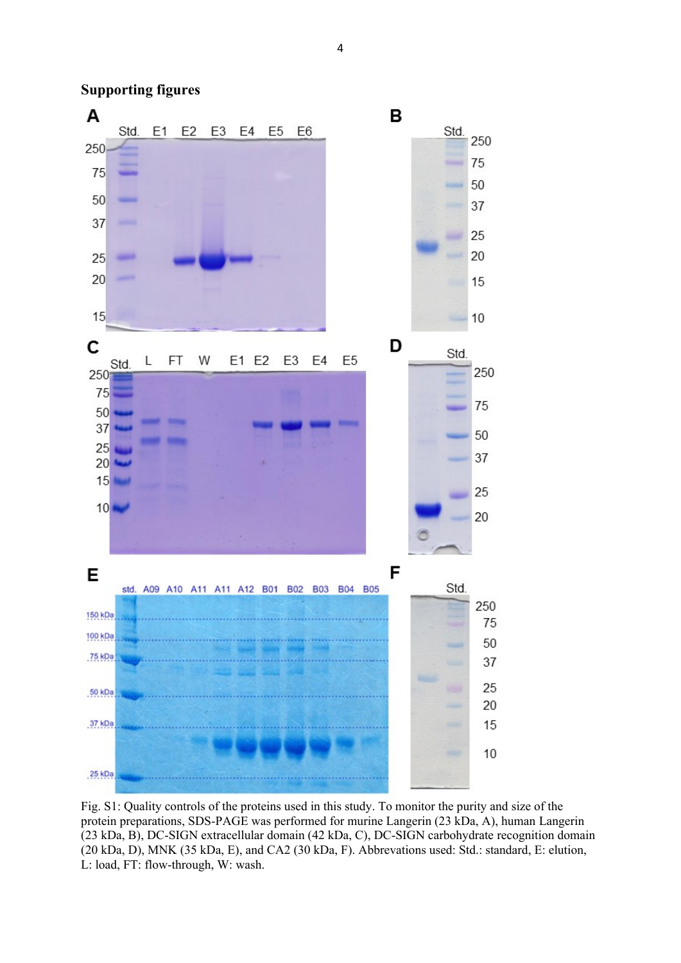4



# **Supporting figures**

Fig. S1: Quality controls of the proteins used in this study. To monitor the purity and size of the protein preparations, SDS-PAGE was performed for murine Langerin (23 kDa, A), human Langerin (23 kDa, B), DC-SIGN extracellular domain (42 kDa, C), DC-SIGN carbohydrate recognition domain (20 kDa, D), MNK (35 kDa, E), and CA2 (30 kDa, F). Abbrevations used: Std.: standard, E: elution, L: load, FT: flow-through, W: wash.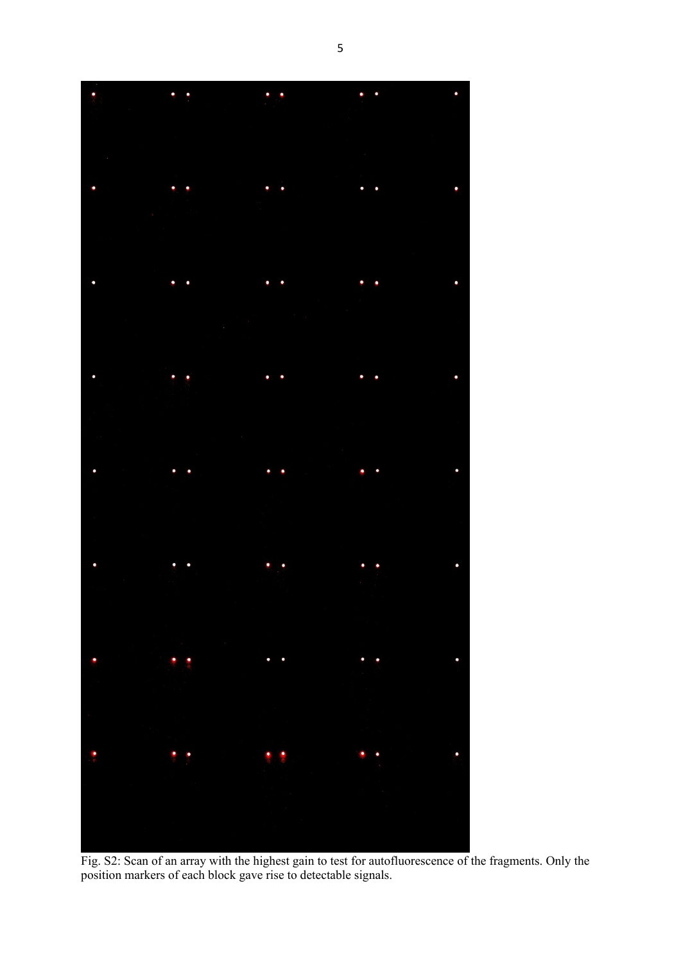

Fig. S2: Scan of an array with the highest gain to test for autofluorescence of the fragments. Only the position markers of each block gave rise to detectable signals.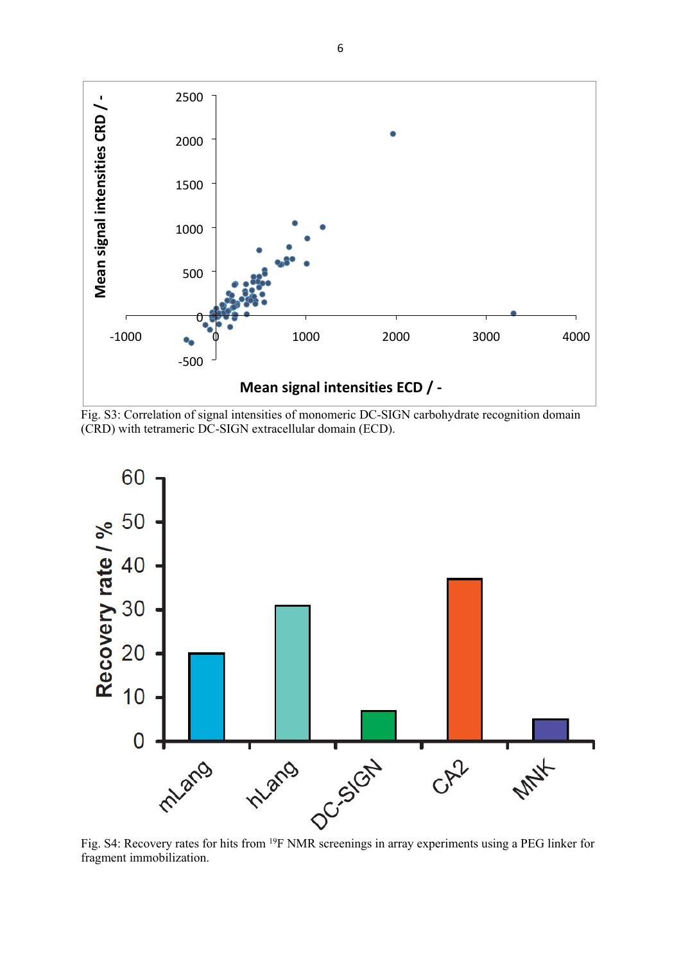

Fig. S3: Correlation of signal intensities of monomeric DC-SIGN carbohydrate recognition domain (CRD) with tetrameric DC-SIGN extracellular domain (ECD).



fragment immobilization.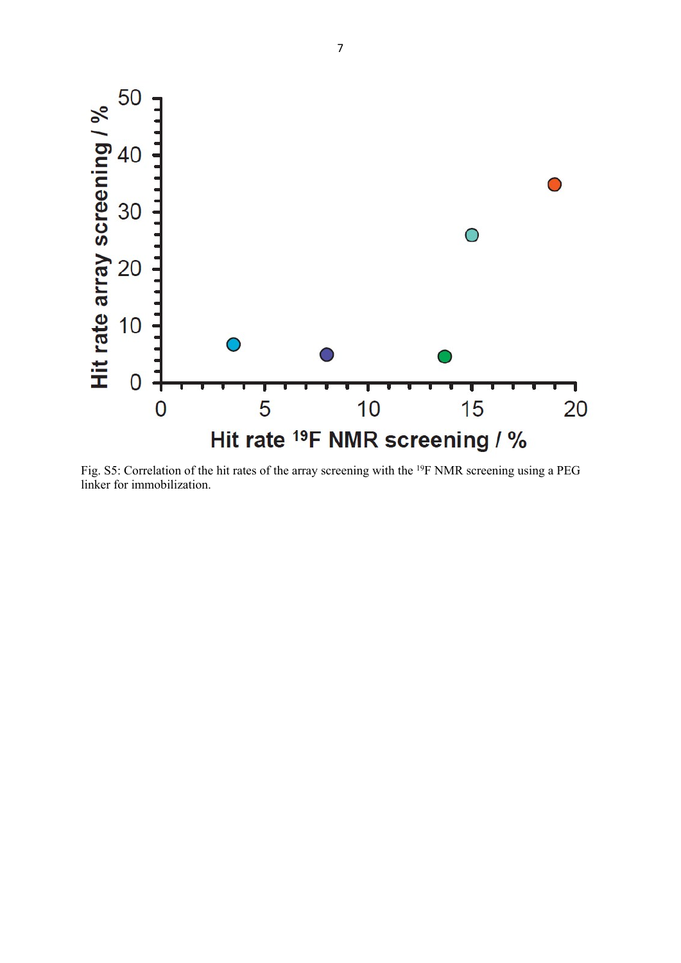

Fig. S5: Correlation of the hit rates of the array screening with the <sup>19</sup>F NMR screening using a PEG linker for immobilization.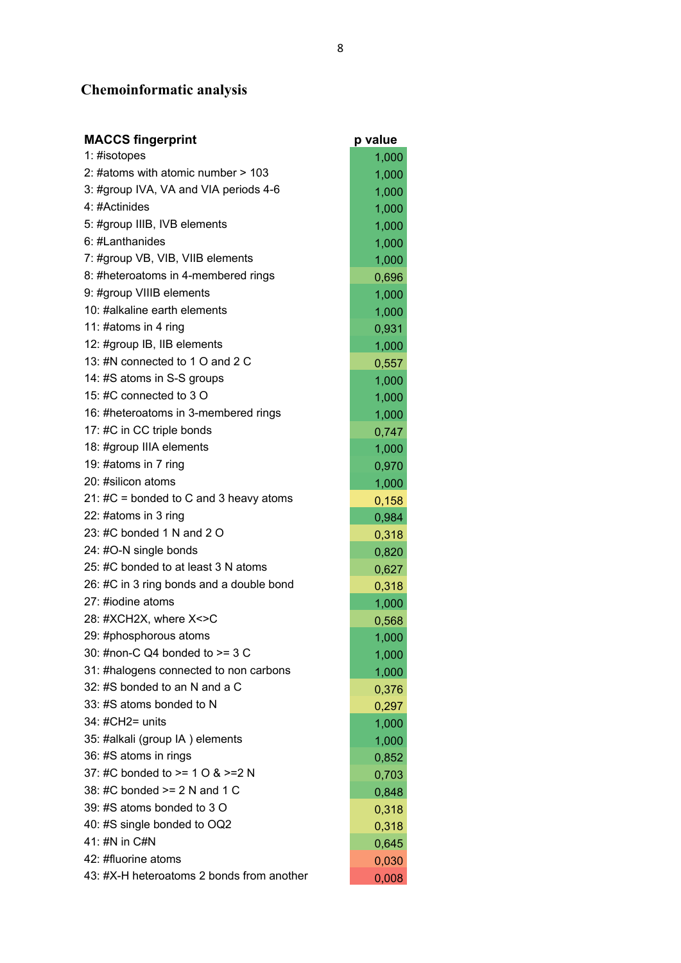# **Chemoinformatic analysis**

| <b>MACCS fingerprint</b>                  | p value |
|-------------------------------------------|---------|
| 1: #isotopes                              | 1,000   |
| 2: #atoms with atomic number > 103        | 1,000   |
| 3: #group IVA, VA and VIA periods 4-6     | 1,000   |
| 4: #Actinides                             | 1,000   |
| 5: #group IIIB, IVB elements              | 1,000   |
| 6: #Lanthanides                           | 1,000   |
| 7: #group VB, VIB, VIIB elements          | 1,000   |
| 8: #heteroatoms in 4-membered rings       | 0,696   |
| 9: #group VIIIB elements                  | 1,000   |
| 10: #alkaline earth elements              | 1,000   |
| 11: #atoms in 4 ring                      | 0,931   |
| 12: #group IB, IIB elements               | 1,000   |
| 13: #N connected to 1 O and 2 C           | 0,557   |
| 14: #S atoms in S-S groups                | 1,000   |
| 15: #C connected to 3 O                   | 1,000   |
| 16: #heteroatoms in 3-membered rings      | 1,000   |
| 17: #C in CC triple bonds                 | 0,747   |
| 18: #group IIIA elements                  | 1,000   |
| 19: #atoms in 7 ring                      | 0,970   |
| 20: #silicon atoms                        | 1,000   |
| 21: $\#C$ = bonded to C and 3 heavy atoms | 0,158   |
| 22: #atoms in 3 ring                      | 0,984   |
| 23: #C bonded 1 N and 2 O                 | 0,318   |
| 24: #O-N single bonds                     | 0,820   |
| 25: #C bonded to at least 3 N atoms       | 0,627   |
| 26: #C in 3 ring bonds and a double bond  | 0,318   |
| 27: #iodine atoms                         | 1,000   |
| 28: #XCH2X, where X<>C                    | 0,568   |
| 29: #phosphorous atoms                    | 1,000   |
| 30: #non-C Q4 bonded to $>=$ 3 C          | 1,000   |
| 31: #halogens connected to non carbons    | 1,000   |
| 32: #S bonded to an N and a C             | 0,376   |
| 33: #S atoms bonded to N                  | 0,297   |
| 34: #CH2= units                           | 1,000   |
| 35: #alkali (group IA) elements           | 1,000   |
| 36: #S atoms in rings                     | 0,852   |
| 37: #C bonded to $>= 10$ & $>= 2$ N       | 0,703   |
| 38: #C bonded $>= 2 N$ and 1 C            | 0,848   |
| 39: #S atoms bonded to 3 O                | 0,318   |
| 40: #S single bonded to OQ2               | 0,318   |
| 41: #N in C#N                             | 0,645   |
| 42: #fluorine atoms                       | 0,030   |
| 43: #X-H heteroatoms 2 bonds from another | 0,008   |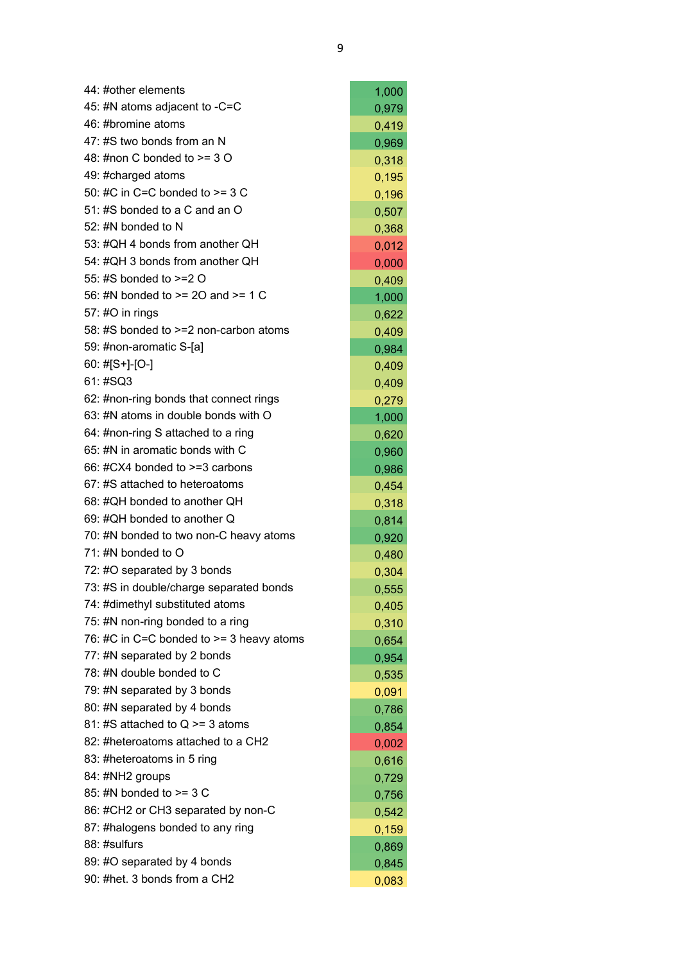| 44: #other elements                        | 1,000 |
|--------------------------------------------|-------|
| 45: #N atoms adjacent to -C=C              | 0,979 |
| 46: #bromine atoms                         | 0,419 |
| 47: #S two bonds from an N                 | 0,969 |
| 48: #non C bonded to $>=$ 3 O              | 0,318 |
| 49: #charged atoms                         | 0,195 |
| 50: #C in C=C bonded to $>=$ 3 C           | 0,196 |
| 51: #S bonded to a C and an O              | 0,507 |
| 52: #N bonded to N                         | 0,368 |
| 53: #QH 4 bonds from another QH            | 0,012 |
| 54: #QH 3 bonds from another QH            | 0,000 |
| 55: #S bonded to >=2 O                     | 0,409 |
| 56: #N bonded to >= 20 and >= 1 C          | 1,000 |
| 57: #O in rings                            | 0,622 |
| 58: #S bonded to >=2 non-carbon atoms      | 0,409 |
| 59: #non-aromatic S-[a]                    | 0,984 |
| 60: #[S+]-[O-]                             | 0,409 |
| 61: #SQ3                                   | 0,409 |
| 62: #non-ring bonds that connect rings     | 0,279 |
| 63: #N atoms in double bonds with O        | 1,000 |
| 64: #non-ring S attached to a ring         | 0,620 |
| 65: #N in aromatic bonds with C            | 0,960 |
| 66: #CX4 bonded to >=3 carbons             | 0,986 |
| 67: #S attached to heteroatoms             | 0,454 |
| 68: #QH bonded to another QH               | 0,318 |
| 69: #QH bonded to another Q                | 0,814 |
| 70: #N bonded to two non-C heavy atoms     | 0,920 |
| 71: #N bonded to O                         | 0,480 |
| 72: #O separated by 3 bonds                | 0,304 |
| 73: #S in double/charge separated bonds    | 0,555 |
| 74: #dimethyl substituted atoms            | 0,405 |
| 75: #N non-ring bonded to a ring           | 0,310 |
| 76: #C in C=C bonded to $>=$ 3 heavy atoms | 0,654 |
| 77: #N separated by 2 bonds                | 0,954 |
| 78: #N double bonded to C                  | 0,535 |
| 79: #N separated by 3 bonds                | 0,091 |
| 80: #N separated by 4 bonds                | 0,786 |
| 81: #S attached to $Q \ge 3$ atoms         | 0,854 |
| 82: #heteroatoms attached to a CH2         | 0,002 |
| 83: #heteroatoms in 5 ring                 | 0,616 |
| 84: #NH2 groups                            | 0,729 |
| 85: #N bonded to >= 3 C                    | 0,756 |
| 86: #CH2 or CH3 separated by non-C         | 0,542 |
| 87: #halogens bonded to any ring           | 0,159 |
| 88: #sulfurs                               | 0,869 |
| 89: #O separated by 4 bonds                | 0,845 |
| 90: #het. 3 bonds from a CH2               | 0,083 |

 $\overline{a}$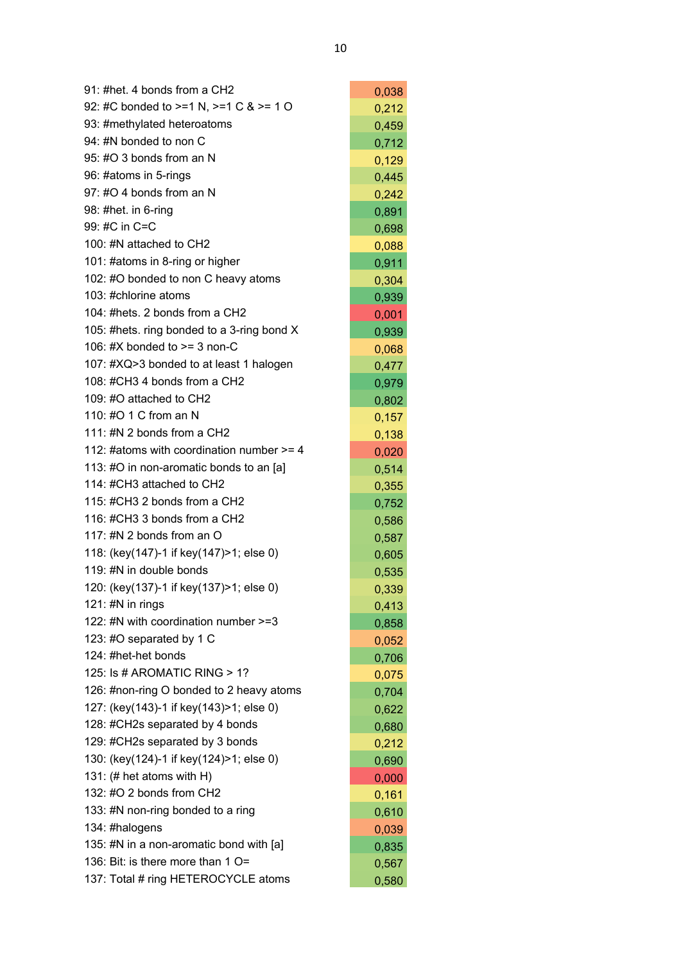| 91: #het. 4 bonds from a CH2                | 0,038 |
|---------------------------------------------|-------|
| 92: #C bonded to >=1 N, >=1 C & >= 1 O      | 0,212 |
| 93: #methylated heteroatoms                 | 0,459 |
| 94: #N bonded to non C                      | 0,712 |
| 95: #O 3 bonds from an N                    | 0,129 |
| 96: #atoms in 5-rings                       | 0,445 |
| 97: #O 4 bonds from an N                    | 0,242 |
| 98: #het. in 6-ring                         | 0,891 |
| 99: #C in C=C                               | 0,698 |
| 100: #N attached to CH2                     | 0,088 |
| 101: #atoms in 8-ring or higher             | 0,911 |
| 102: #O bonded to non C heavy atoms         | 0,304 |
| 103: #chlorine atoms                        | 0,939 |
| 104: #hets, 2 bonds from a CH2              | 0,001 |
| 105: #hets. ring bonded to a 3-ring bond X  | 0,939 |
| 106: #X bonded to $>=$ 3 non-C              | 0,068 |
| 107: #XQ>3 bonded to at least 1 halogen     | 0,477 |
| 108: #CH3 4 bonds from a CH2                | 0,979 |
| 109: #O attached to CH2                     | 0,802 |
| 110: #O 1 C from an N                       | 0,157 |
| 111: #N 2 bonds from a CH2                  | 0,138 |
| 112: #atoms with coordination number $>=$ 4 | 0,020 |
| 113: #O in non-aromatic bonds to an [a]     | 0,514 |
| 114: #CH3 attached to CH2                   | 0,355 |
| 115: #CH3 2 bonds from a CH2                | 0,752 |
| 116: #CH3 3 bonds from a CH2                | 0,586 |
| 117: #N 2 bonds from an O                   | 0,587 |
| 118: (key(147)-1 if key(147)>1; else 0)     | 0,605 |
| 119: #N in double bonds                     | 0,535 |
| 120: (key(137)-1 if key(137)>1; else 0)     | 0,339 |
| 121: #N in rings                            | 0,413 |
| 122: #N with coordination number >=3        | 0,858 |
| 123: #O separated by 1 C                    | 0,052 |
| 124: #het-het bonds                         | 0,706 |
| 125: Is # AROMATIC RING > 1?                | 0,075 |
| 126: #non-ring O bonded to 2 heavy atoms    | 0,704 |
| 127: (key(143)-1 if key(143)>1; else 0)     | 0,622 |
| 128: #CH2s separated by 4 bonds             | 0,680 |
| 129: #CH2s separated by 3 bonds             | 0,212 |
| 130: (key(124)-1 if key(124)>1; else 0)     | 0,690 |
| 131: $(\#$ het atoms with H)                | 0,000 |
| 132: #O 2 bonds from CH2                    | 0,161 |
| 133: #N non-ring bonded to a ring           | 0,610 |
| 134: #halogens                              | 0,039 |
| 135: #N in a non-aromatic bond with [a]     | 0,835 |
| 136: Bit: is there more than 1 O=           | 0,567 |
| 137: Total # ring HETEROCYCLE atoms         | 0,580 |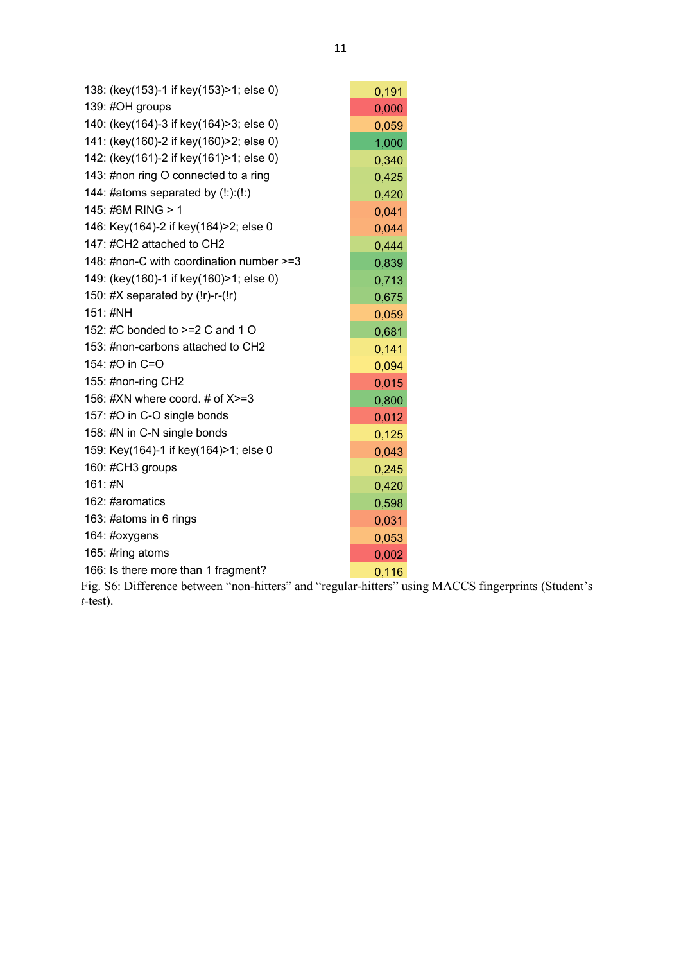| 138: (key(153)-1 if key(153)>1; else 0)  | 0,191 |
|------------------------------------------|-------|
| 139: #OH groups                          | 0,000 |
| 140: (key(164)-3 if key(164)>3; else 0)  | 0,059 |
| 141: (key(160)-2 if key(160)>2; else 0)  | 1,000 |
| 142: (key(161)-2 if key(161)>1; else 0)  | 0,340 |
| 143: #non ring O connected to a ring     | 0,425 |
| 144: #atoms separated by $(!:):(!:)$     | 0,420 |
| 145: #6M RING > 1                        | 0,041 |
| 146: Key(164)-2 if key(164)>2; else 0    | 0,044 |
| 147: #CH2 attached to CH2                | 0,444 |
| 148: #non-C with coordination number >=3 | 0,839 |
| 149: (key(160)-1 if key(160)>1; else 0)  | 0,713 |
| 150: #X separated by $(!r)-r-(!r)$       | 0,675 |
| 151: #NH                                 | 0,059 |
| 152: #C bonded to >=2 C and 1 O          | 0,681 |
| 153: #non-carbons attached to CH2        | 0,141 |
| 154: #O in C=O                           | 0,094 |
| 155: #non-ring CH2                       | 0,015 |
| 156: #XN where coord. # of $X>=3$        | 0,800 |
| 157: #O in C-O single bonds              | 0,012 |
| 158: #N in C-N single bonds              | 0,125 |
| 159: Key(164)-1 if key(164)>1; else 0    | 0,043 |
| 160: #CH3 groups                         | 0,245 |
| 161: #N                                  | 0,420 |
| 162: #aromatics                          | 0,598 |
| 163: #atoms in 6 rings                   | 0,031 |
| 164: #oxygens                            | 0,053 |
| 165: #ring atoms                         | 0,002 |
| 166: Is there more than 1 fragment?      | 0,116 |

Fig. S6: Difference between "non-hitters" and "regular-hitters" using MACCS fingerprints (Student's  $t$ -test).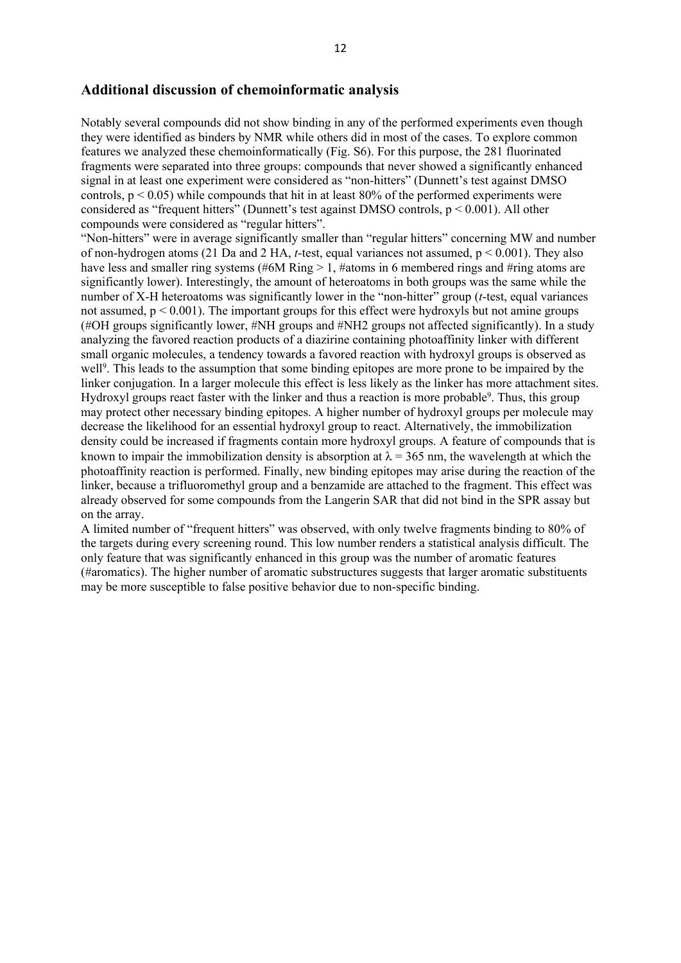## **Additional discussion of chemoinformatic analysis**

Notably several compounds did not show binding in any of the performed experiments even though they were identified as binders by NMR while others did in most of the cases. To explore common features we analyzed these chemoinformatically (Fig. S6). For this purpose, the 281 fluorinated fragments were separated into three groups: compounds that never showed a significantly enhanced signal in at least one experiment were considered as "non-hitters" (Dunnett's test against DMSO controls,  $p \le 0.05$ ) while compounds that hit in at least 80% of the performed experiments were considered as "frequent hitters" (Dunnett's test against DMSO controls,  $p < 0.001$ ). All other compounds were considered as "regular hitters".

"Non-hitters" were in average significantly smaller than "regular hitters" concerning MW and number of non-hydrogen atoms (21 Da and 2 HA, *t*-test, equal variances not assumed, p < 0.001). They also have less and smaller ring systems (#6M Ring > 1, #atoms in 6 membered rings and #ring atoms are significantly lower). Interestingly, the amount of heteroatoms in both groups was the same while the number of X-H heteroatoms was significantly lower in the "non-hitter" group (*t*-test, equal variances not assumed,  $p < 0.001$ ). The important groups for this effect were hydroxyls but not amine groups (#OH groups significantly lower, #NH groups and #NH2 groups not affected significantly). In a study analyzing the favored reaction products of a diazirine containing photoaffinity linker with different small organic molecules, a tendency towards a favored reaction with hydroxyl groups is observed as well<sup>9</sup>. This leads to the assumption that some binding epitopes are more prone to be impaired by the linker conjugation. In a larger molecule this effect is less likely as the linker has more attachment sites. Hydroxyl groups react faster with the linker and thus a reaction is more probable<sup>9</sup>. Thus, this group may protect other necessary binding epitopes. A higher number of hydroxyl groups per molecule may decrease the likelihood for an essential hydroxyl group to react. Alternatively, the immobilization density could be increased if fragments contain more hydroxyl groups. A feature of compounds that is known to impair the immobilization density is absorption at  $\lambda = 365$  nm, the wavelength at which the photoaffinity reaction is performed. Finally, new binding epitopes may arise during the reaction of the linker, because a trifluoromethyl group and a benzamide are attached to the fragment. This effect was already observed for some compounds from the Langerin SAR that did not bind in the SPR assay but on the array.

A limited number of "frequent hitters" was observed, with only twelve fragments binding to 80% of the targets during every screening round. This low number renders a statistical analysis difficult. The only feature that was significantly enhanced in this group was the number of aromatic features (#aromatics). The higher number of aromatic substructures suggests that larger aromatic substituents may be more susceptible to false positive behavior due to non-specific binding.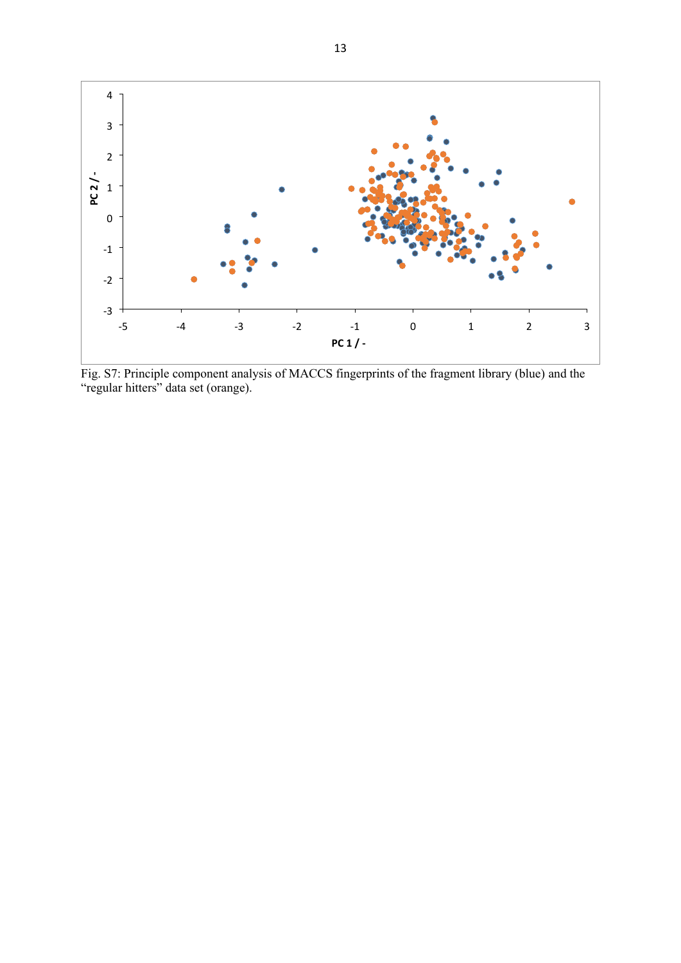

Fig. S7: Principle component analysis of MACCS fingerprints of the fragment library (blue) and the "regular hitters" data set (orange).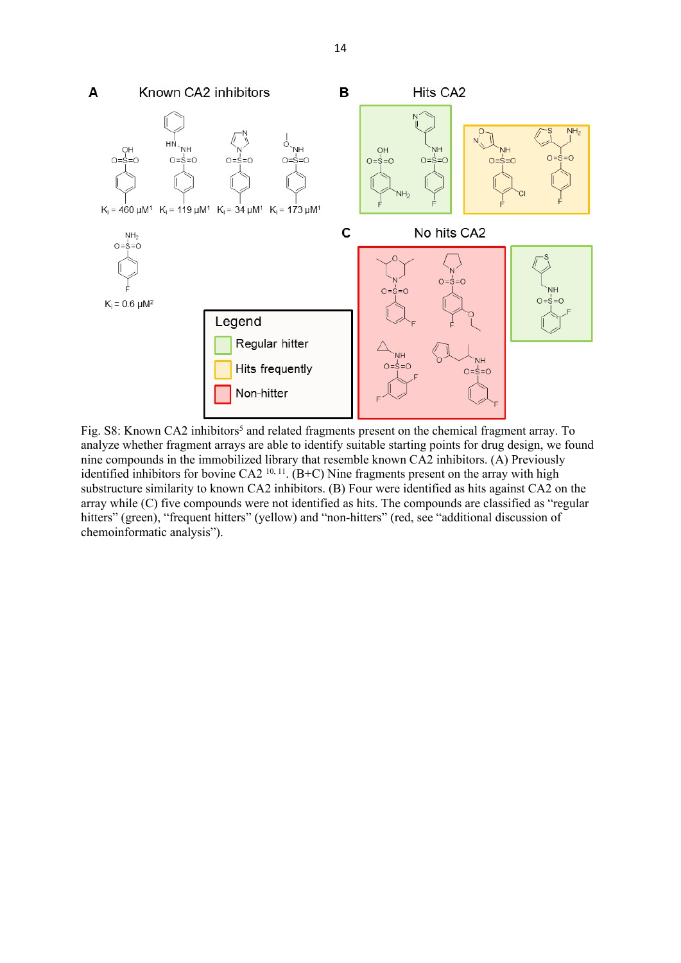

Fig. S8: Known CA2 inhibitors<sup>5</sup> and related fragments present on the chemical fragment array. To analyze whether fragment arrays are able to identify suitable starting points for drug design, we found nine compounds in the immobilized library that resemble known CA2 inhibitors. (A) Previously identified inhibitors for bovine CA2<sup>10, 11</sup>. (B+C) Nine fragments present on the array with high substructure similarity to known CA2 inhibitors. (B) Four were identified as hits against CA2 on the array while (C) five compounds were not identified as hits. The compounds are classified as "regular hitters" (green), "frequent hitters" (yellow) and "non-hitters" (red, see "additional discussion of chemoinformatic analysis").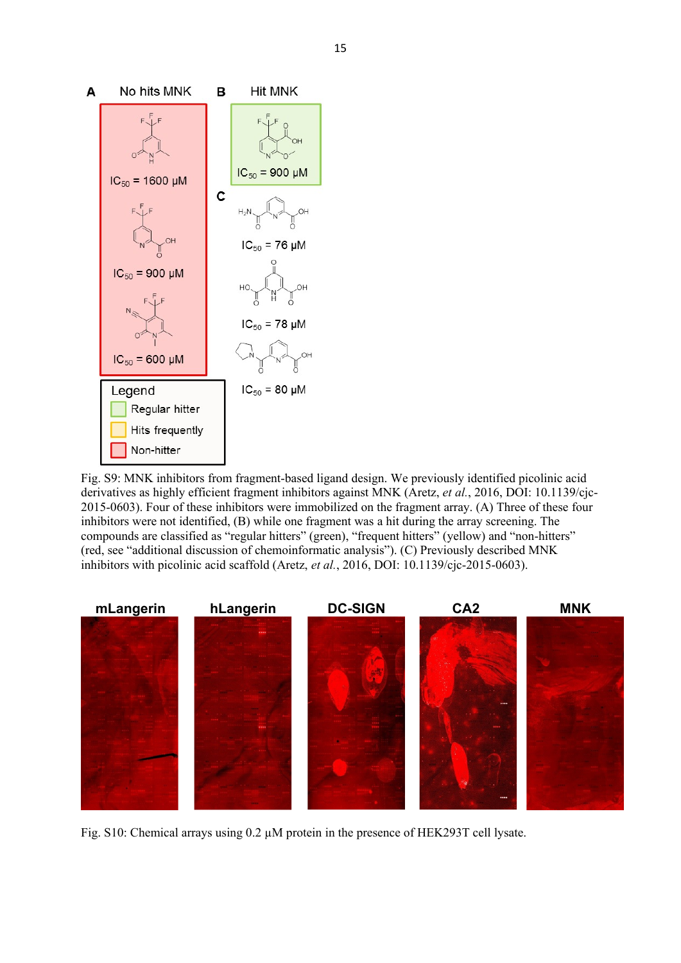

Fig. S9: MNK inhibitors from fragment-based ligand design. We previously identified picolinic acid derivatives as highly efficient fragment inhibitors against MNK (Aretz, *et al.*, 2016, DOI: 10.1139/cjc-2015-0603). Four of these inhibitors were immobilized on the fragment array. (A) Three of these four inhibitors were not identified, (B) while one fragment was a hit during the array screening. The compounds are classified as "regular hitters" (green), "frequent hitters" (yellow) and "non-hitters" (red, see "additional discussion of chemoinformatic analysis"). (C) Previously described MNK inhibitors with picolinic acid scaffold (Aretz, *et al.*, 2016, DOI: 10.1139/cjc-2015-0603).



Fig. S10: Chemical arrays using 0.2 µM protein in the presence of HEK293T cell lysate.